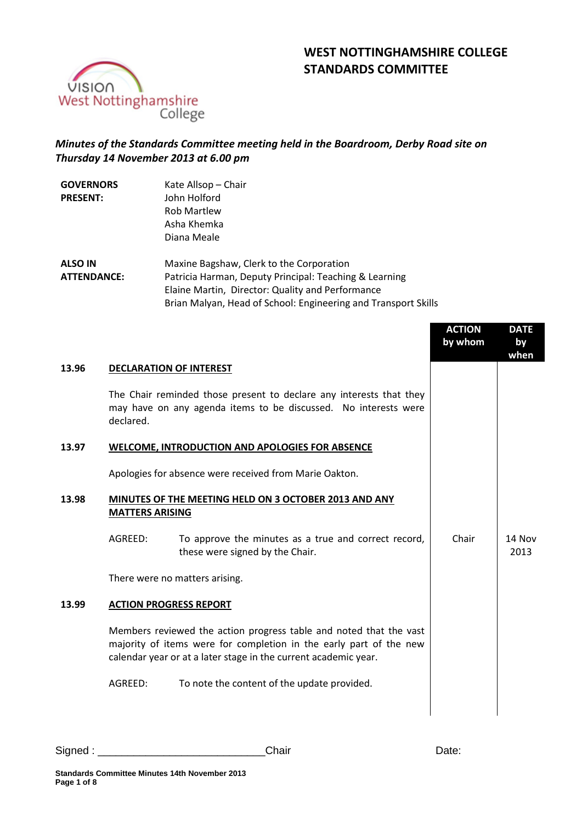# **WEST NOTTINGHAMSHIRE COLLEGE STANDARDS COMMITTEE**



# *Minutes of the Standards Committee meeting held in the Boardroom, Derby Road site on Thursday 14 November 2013 at 6.00 pm*

| <b>GOVERNORS</b>   | Kate Allsop - Chair                                            |
|--------------------|----------------------------------------------------------------|
| <b>PRESENT:</b>    | John Holford                                                   |
|                    | <b>Rob Martlew</b>                                             |
|                    | Asha Khemka                                                    |
|                    | Diana Meale                                                    |
| <b>ALSO IN</b>     | Maxine Bagshaw, Clerk to the Corporation                       |
| <b>ATTENDANCE:</b> | Patricia Harman, Deputy Principal: Teaching & Learning         |
|                    | Elaine Martin, Director: Quality and Performance               |
|                    | Brian Malyan, Head of School: Engineering and Transport Skills |

|       |                                                                                                                                                                                                             | <b>ACTION</b><br>by whom | <b>DATE</b><br>by<br>when |
|-------|-------------------------------------------------------------------------------------------------------------------------------------------------------------------------------------------------------------|--------------------------|---------------------------|
| 13.96 | <b>DECLARATION OF INTEREST</b>                                                                                                                                                                              |                          |                           |
|       | The Chair reminded those present to declare any interests that they<br>may have on any agenda items to be discussed. No interests were<br>declared.                                                         |                          |                           |
| 13.97 | <b>WELCOME, INTRODUCTION AND APOLOGIES FOR ABSENCE</b>                                                                                                                                                      |                          |                           |
|       | Apologies for absence were received from Marie Oakton.                                                                                                                                                      |                          |                           |
| 13.98 | MINUTES OF THE MEETING HELD ON 3 OCTOBER 2013 AND ANY<br><b>MATTERS ARISING</b>                                                                                                                             |                          |                           |
|       | AGREED:<br>To approve the minutes as a true and correct record,<br>these were signed by the Chair.                                                                                                          | Chair                    | <b>14 Nov</b><br>2013     |
|       | There were no matters arising.                                                                                                                                                                              |                          |                           |
| 13.99 | <b>ACTION PROGRESS REPORT</b>                                                                                                                                                                               |                          |                           |
|       | Members reviewed the action progress table and noted that the vast<br>majority of items were for completion in the early part of the new<br>calendar year or at a later stage in the current academic year. |                          |                           |
|       | AGREED:<br>To note the content of the update provided.                                                                                                                                                      |                          |                           |
|       |                                                                                                                                                                                                             |                          |                           |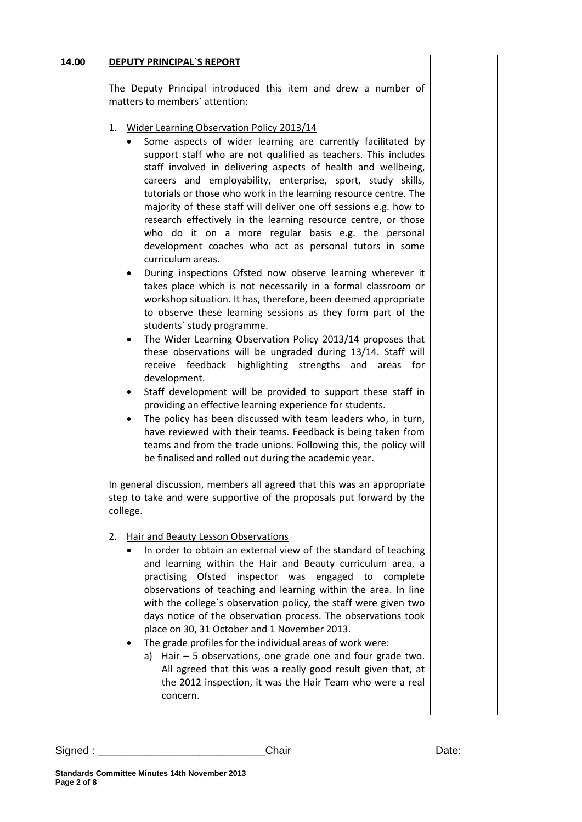#### **14.00 DEPUTY PRINCIPAL`S REPORT**

The Deputy Principal introduced this item and drew a number of matters to members` attention:

- 1. Wider Learning Observation Policy 2013/14
	- Some aspects of wider learning are currently facilitated by support staff who are not qualified as teachers. This includes staff involved in delivering aspects of health and wellbeing, careers and employability, enterprise, sport, study skills, tutorials or those who work in the learning resource centre. The majority of these staff will deliver one off sessions e.g. how to research effectively in the learning resource centre, or those who do it on a more regular basis e.g. the personal development coaches who act as personal tutors in some curriculum areas.
	- During inspections Ofsted now observe learning wherever it takes place which is not necessarily in a formal classroom or workshop situation. It has, therefore, been deemed appropriate to observe these learning sessions as they form part of the students` study programme.
	- The Wider Learning Observation Policy 2013/14 proposes that these observations will be ungraded during 13/14. Staff will receive feedback highlighting strengths and areas for development.
	- Staff development will be provided to support these staff in providing an effective learning experience for students.
	- The policy has been discussed with team leaders who, in turn, have reviewed with their teams. Feedback is being taken from teams and from the trade unions. Following this, the policy will be finalised and rolled out during the academic year.

In general discussion, members all agreed that this was an appropriate step to take and were supportive of the proposals put forward by the college.

- 2. Hair and Beauty Lesson Observations
	- In order to obtain an external view of the standard of teaching and learning within the Hair and Beauty curriculum area, a practising Ofsted inspector was engaged to complete observations of teaching and learning within the area. In line with the college`s observation policy, the staff were given two days notice of the observation process. The observations took place on 30, 31 October and 1 November 2013.
	- The grade profiles for the individual areas of work were:
		- a) Hair 5 observations, one grade one and four grade two. All agreed that this was a really good result given that, at the 2012 inspection, it was the Hair Team who were a real concern.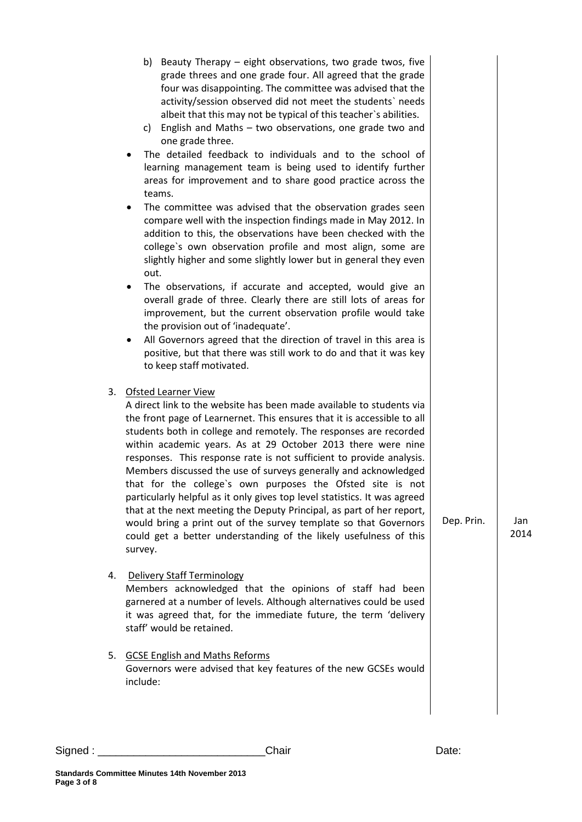|    | b) Beauty Therapy - eight observations, two grade twos, five<br>grade threes and one grade four. All agreed that the grade<br>four was disappointing. The committee was advised that the<br>activity/session observed did not meet the students' needs<br>albeit that this may not be typical of this teacher's abilities.<br>c) English and Maths - two observations, one grade two and<br>one grade three.<br>The detailed feedback to individuals and to the school of<br>learning management team is being used to identify further<br>areas for improvement and to share good practice across the<br>teams.<br>The committee was advised that the observation grades seen<br>compare well with the inspection findings made in May 2012. In<br>addition to this, the observations have been checked with the<br>college's own observation profile and most align, some are<br>slightly higher and some slightly lower but in general they even<br>out.<br>The observations, if accurate and accepted, would give an<br>٠<br>overall grade of three. Clearly there are still lots of areas for<br>improvement, but the current observation profile would take<br>the provision out of 'inadequate'.<br>All Governors agreed that the direction of travel in this area is<br>positive, but that there was still work to do and that it was key<br>to keep staff motivated. |            |             |
|----|-------------------------------------------------------------------------------------------------------------------------------------------------------------------------------------------------------------------------------------------------------------------------------------------------------------------------------------------------------------------------------------------------------------------------------------------------------------------------------------------------------------------------------------------------------------------------------------------------------------------------------------------------------------------------------------------------------------------------------------------------------------------------------------------------------------------------------------------------------------------------------------------------------------------------------------------------------------------------------------------------------------------------------------------------------------------------------------------------------------------------------------------------------------------------------------------------------------------------------------------------------------------------------------------------------------------------------------------------------------------------------|------------|-------------|
|    | 3. Ofsted Learner View<br>A direct link to the website has been made available to students via<br>the front page of Learnernet. This ensures that it is accessible to all<br>students both in college and remotely. The responses are recorded<br>within academic years. As at 29 October 2013 there were nine<br>responses. This response rate is not sufficient to provide analysis.<br>Members discussed the use of surveys generally and acknowledged<br>that for the college's own purposes the Ofsted site is not<br>particularly helpful as it only gives top level statistics. It was agreed<br>that at the next meeting the Deputy Principal, as part of her report,<br>would bring a print out of the survey template so that Governors<br>could get a better understanding of the likely usefulness of this<br>survey.                                                                                                                                                                                                                                                                                                                                                                                                                                                                                                                                             | Dep. Prin. | Jan<br>2014 |
| 4. | <b>Delivery Staff Terminology</b><br>Members acknowledged that the opinions of staff had been<br>garnered at a number of levels. Although alternatives could be used<br>it was agreed that, for the immediate future, the term 'delivery<br>staff' would be retained.                                                                                                                                                                                                                                                                                                                                                                                                                                                                                                                                                                                                                                                                                                                                                                                                                                                                                                                                                                                                                                                                                                         |            |             |
| 5. | <b>GCSE English and Maths Reforms</b><br>Governors were advised that key features of the new GCSEs would<br>include:                                                                                                                                                                                                                                                                                                                                                                                                                                                                                                                                                                                                                                                                                                                                                                                                                                                                                                                                                                                                                                                                                                                                                                                                                                                          |            |             |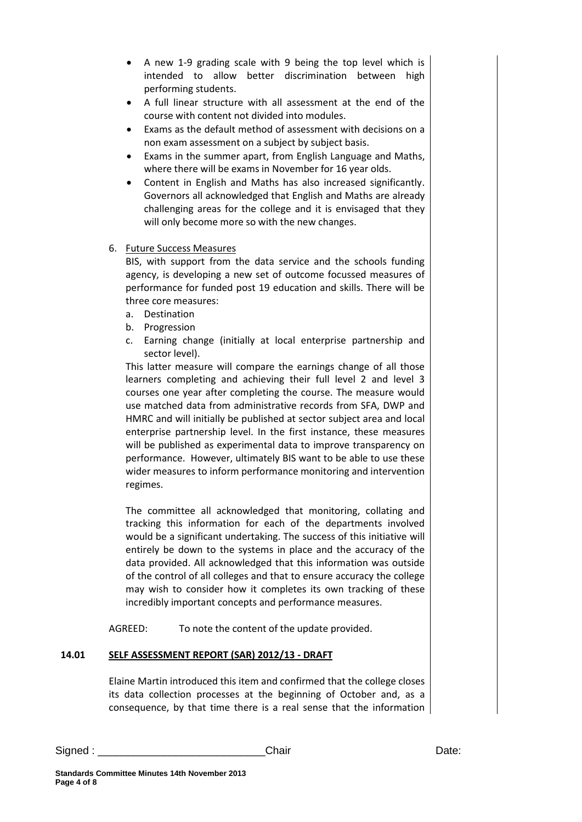- A new 1-9 grading scale with 9 being the top level which is intended to allow better discrimination between high performing students.
- A full linear structure with all assessment at the end of the course with content not divided into modules.
- Exams as the default method of assessment with decisions on a non exam assessment on a subject by subject basis.
- Exams in the summer apart, from English Language and Maths, where there will be exams in November for 16 year olds.
- Content in English and Maths has also increased significantly. Governors all acknowledged that English and Maths are already challenging areas for the college and it is envisaged that they will only become more so with the new changes.

## 6. Future Success Measures

BIS, with support from the data service and the schools funding agency, is developing a new set of outcome focussed measures of performance for funded post 19 education and skills. There will be three core measures:

- a. Destination
- b. Progression
- c. Earning change (initially at local enterprise partnership and sector level).

This latter measure will compare the earnings change of all those learners completing and achieving their full level 2 and level 3 courses one year after completing the course. The measure would use matched data from administrative records from SFA, DWP and HMRC and will initially be published at sector subject area and local enterprise partnership level. In the first instance, these measures will be published as experimental data to improve transparency on performance. However, ultimately BIS want to be able to use these wider measures to inform performance monitoring and intervention regimes.

The committee all acknowledged that monitoring, collating and tracking this information for each of the departments involved would be a significant undertaking. The success of this initiative will entirely be down to the systems in place and the accuracy of the data provided. All acknowledged that this information was outside of the control of all colleges and that to ensure accuracy the college may wish to consider how it completes its own tracking of these incredibly important concepts and performance measures.

AGREED: To note the content of the update provided.

## **14.01 SELF ASSESSMENT REPORT (SAR) 2012/13 - DRAFT**

Elaine Martin introduced this item and confirmed that the college closes its data collection processes at the beginning of October and, as a consequence, by that time there is a real sense that the information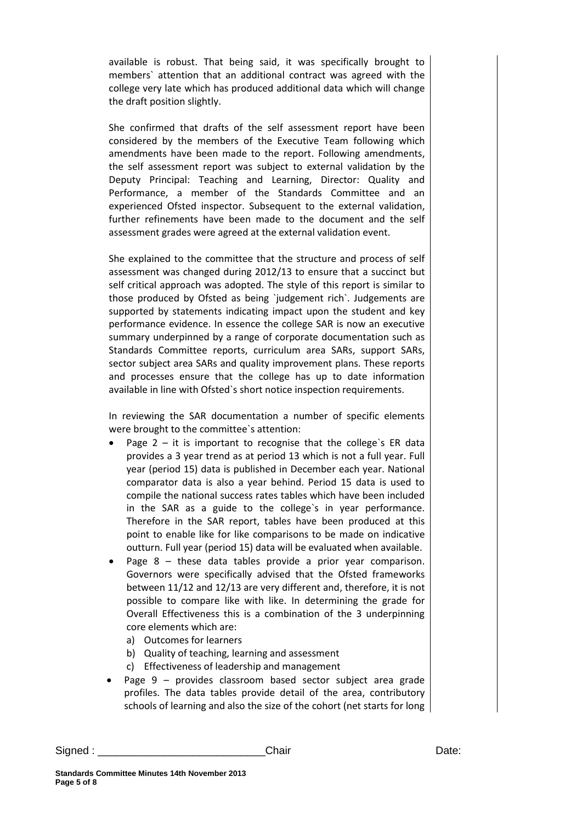available is robust. That being said, it was specifically brought to members` attention that an additional contract was agreed with the college very late which has produced additional data which will change the draft position slightly.

She confirmed that drafts of the self assessment report have been considered by the members of the Executive Team following which amendments have been made to the report. Following amendments, the self assessment report was subject to external validation by the Deputy Principal: Teaching and Learning, Director: Quality and Performance, a member of the Standards Committee and an experienced Ofsted inspector. Subsequent to the external validation, further refinements have been made to the document and the self assessment grades were agreed at the external validation event.

She explained to the committee that the structure and process of self assessment was changed during 2012/13 to ensure that a succinct but self critical approach was adopted. The style of this report is similar to those produced by Ofsted as being `judgement rich`. Judgements are supported by statements indicating impact upon the student and key performance evidence. In essence the college SAR is now an executive summary underpinned by a range of corporate documentation such as Standards Committee reports, curriculum area SARs, support SARs, sector subject area SARs and quality improvement plans. These reports and processes ensure that the college has up to date information available in line with Ofsted`s short notice inspection requirements.

In reviewing the SAR documentation a number of specific elements were brought to the committee`s attention:

- Page  $2 it$  is important to recognise that the college's ER data provides a 3 year trend as at period 13 which is not a full year. Full year (period 15) data is published in December each year. National comparator data is also a year behind. Period 15 data is used to compile the national success rates tables which have been included in the SAR as a guide to the college`s in year performance. Therefore in the SAR report, tables have been produced at this point to enable like for like comparisons to be made on indicative outturn. Full year (period 15) data will be evaluated when available.
- Page 8 these data tables provide a prior year comparison. Governors were specifically advised that the Ofsted frameworks between 11/12 and 12/13 are very different and, therefore, it is not possible to compare like with like. In determining the grade for Overall Effectiveness this is a combination of the 3 underpinning core elements which are:
	- a) Outcomes for learners
	- b) Quality of teaching, learning and assessment
	- c) Effectiveness of leadership and management
- Page 9 provides classroom based sector subject area grade profiles. The data tables provide detail of the area, contributory schools of learning and also the size of the cohort (net starts for long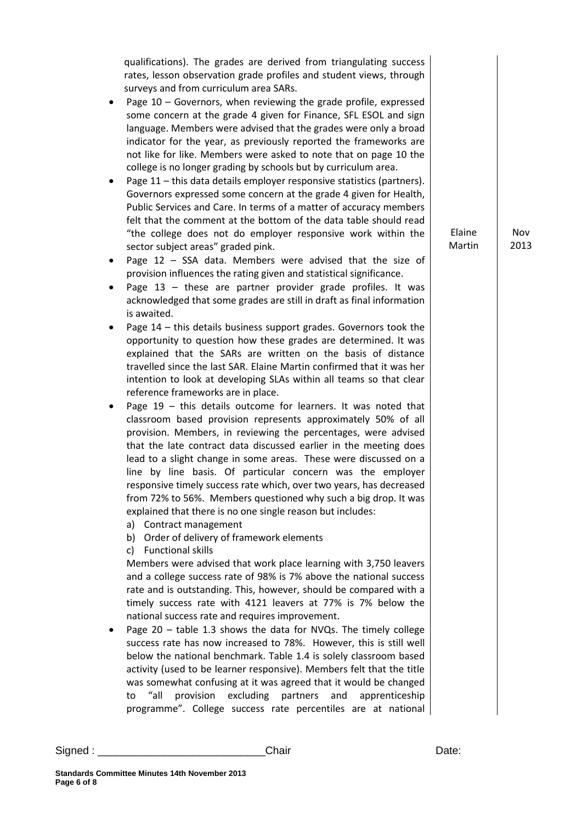qualifications). The grades are derived from triangulating success rates, lesson observation grade profiles and student views, through surveys and from curriculum area SARs.

- Page 10 Governors, when reviewing the grade profile, expressed some concern at the grade 4 given for Finance, SFL ESOL and sign language. Members were advised that the grades were only a broad indicator for the year, as previously reported the frameworks are not like for like. Members were asked to note that on page 10 the college is no longer grading by schools but by curriculum area.
- Page 11 this data details employer responsive statistics (partners). Governors expressed some concern at the grade 4 given for Health, Public Services and Care. In terms of a matter of accuracy members felt that the comment at the bottom of the data table should read "the college does not do employer responsive work within the sector subject areas" graded pink.
- Page 12 SSA data. Members were advised that the size of provision influences the rating given and statistical significance.
- Page  $13$  these are partner provider grade profiles. It was acknowledged that some grades are still in draft as final information is awaited.
- Page 14 this details business support grades. Governors took the opportunity to question how these grades are determined. It was explained that the SARs are written on the basis of distance travelled since the last SAR. Elaine Martin confirmed that it was her intention to look at developing SLAs within all teams so that clear reference frameworks are in place.
- Page 19 this details outcome for learners. It was noted that classroom based provision represents approximately 50% of all provision. Members, in reviewing the percentages, were advised that the late contract data discussed earlier in the meeting does lead to a slight change in some areas. These were discussed on a line by line basis. Of particular concern was the employer responsive timely success rate which, over two years, has decreased from 72% to 56%. Members questioned why such a big drop. It was explained that there is no one single reason but includes:
	- a) Contract management
	- b) Order of delivery of framework elements
	- c) Functional skills

Members were advised that work place learning with 3,750 leavers and a college success rate of 98% is 7% above the national success rate and is outstanding. This, however, should be compared with a timely success rate with 4121 leavers at 77% is 7% below the national success rate and requires improvement.

 Page 20 – table 1.3 shows the data for NVQs. The timely college success rate has now increased to 78%. However, this is still well below the national benchmark. Table 1.4 is solely classroom based activity (used to be learner responsive). Members felt that the title was somewhat confusing at it was agreed that it would be changed to "all provision excluding partners and apprenticeship programme". College success rate percentiles are at national

Elaine Martin

Nov 2013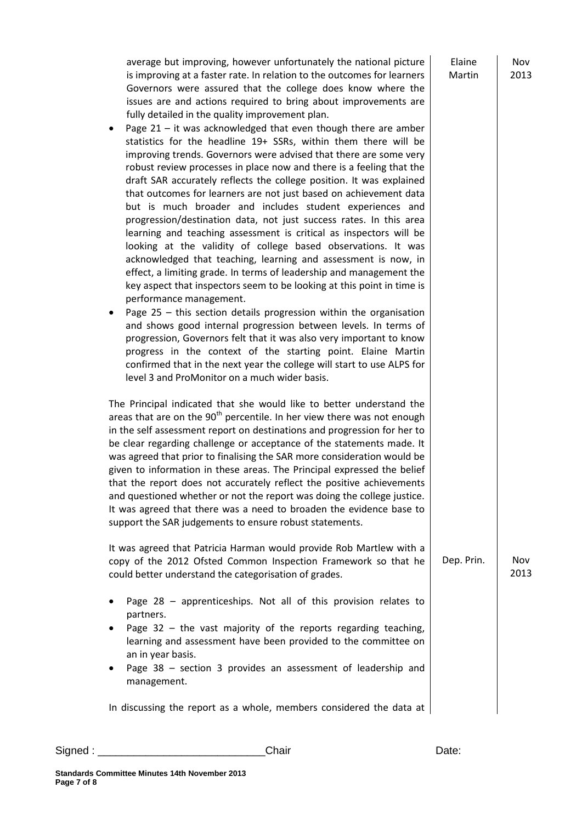average but improving, however unfortunately the national picture is improving at a faster rate. In relation to the outcomes for learners Governors were assured that the college does know where the issues are and actions required to bring about improvements are fully detailed in the quality improvement plan.

- Page 21 it was acknowledged that even though there are amber statistics for the headline 19+ SSRs, within them there will be improving trends. Governors were advised that there are some very robust review processes in place now and there is a feeling that the draft SAR accurately reflects the college position. It was explained that outcomes for learners are not just based on achievement data but is much broader and includes student experiences and progression/destination data, not just success rates. In this area learning and teaching assessment is critical as inspectors will be looking at the validity of college based observations. It was acknowledged that teaching, learning and assessment is now, in effect, a limiting grade. In terms of leadership and management the key aspect that inspectors seem to be looking at this point in time is performance management.
- Page 25 this section details progression within the organisation and shows good internal progression between levels. In terms of progression, Governors felt that it was also very important to know progress in the context of the starting point. Elaine Martin confirmed that in the next year the college will start to use ALPS for level 3 and ProMonitor on a much wider basis.

The Principal indicated that she would like to better understand the areas that are on the  $90<sup>th</sup>$  percentile. In her view there was not enough in the self assessment report on destinations and progression for her to be clear regarding challenge or acceptance of the statements made. It was agreed that prior to finalising the SAR more consideration would be given to information in these areas. The Principal expressed the belief that the report does not accurately reflect the positive achievements and questioned whether or not the report was doing the college justice. It was agreed that there was a need to broaden the evidence base to support the SAR judgements to ensure robust statements.

It was agreed that Patricia Harman would provide Rob Martlew with a copy of the 2012 Ofsted Common Inspection Framework so that he could better understand the categorisation of grades.

- Page 28 apprenticeships. Not all of this provision relates to partners.
- Page  $32$  the vast majority of the reports regarding teaching, learning and assessment have been provided to the committee on an in year basis.
- Page 38 section 3 provides an assessment of leadership and management.

In discussing the report as a whole, members considered the data at

| Signed | م hair | ∪ate. |
|--------|--------|-------|
|--------|--------|-------|

Nov 2013

Elaine Martin

> Nov 2013

Dep. Prin.